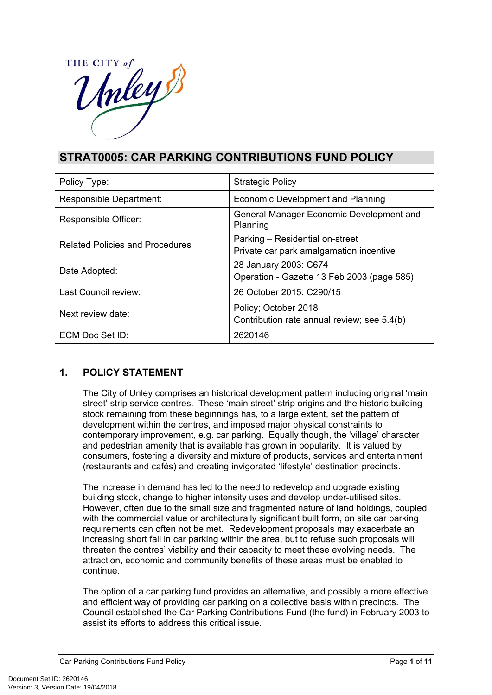

# **STRAT0005: CAR PARKING CONTRIBUTIONS FUND POLICY**

| Policy Type:                           | <b>Strategic Policy</b>                                                    |
|----------------------------------------|----------------------------------------------------------------------------|
| Responsible Department:                | <b>Economic Development and Planning</b>                                   |
| Responsible Officer:                   | General Manager Economic Development and<br>Planning                       |
| <b>Related Policies and Procedures</b> | Parking - Residential on-street<br>Private car park amalgamation incentive |
| Date Adopted:                          | 28 January 2003: C674<br>Operation - Gazette 13 Feb 2003 (page 585)        |
| Last Council review:                   | 26 October 2015: C290/15                                                   |
| Next review date:                      | Policy; October 2018<br>Contribution rate annual review; see 5.4(b)        |
| ECM Doc Set ID:                        | 2620146                                                                    |

# **1. POLICY STATEMENT**

The City of Unley comprises an historical development pattern including original 'main street' strip service centres. These 'main street' strip origins and the historic building stock remaining from these beginnings has, to a large extent, set the pattern of development within the centres, and imposed major physical constraints to contemporary improvement, e.g. car parking. Equally though, the 'village' character and pedestrian amenity that is available has grown in popularity. It is valued by consumers, fostering a diversity and mixture of products, services and entertainment (restaurants and cafés) and creating invigorated 'lifestyle' destination precincts.

The increase in demand has led to the need to redevelop and upgrade existing building stock, change to higher intensity uses and develop under-utilised sites. However, often due to the small size and fragmented nature of land holdings, coupled with the commercial value or architecturally significant built form, on site car parking requirements can often not be met. Redevelopment proposals may exacerbate an increasing short fall in car parking within the area, but to refuse such proposals will threaten the centres' viability and their capacity to meet these evolving needs. The attraction, economic and community benefits of these areas must be enabled to continue.

The option of a car parking fund provides an alternative, and possibly a more effective and efficient way of providing car parking on a collective basis within precincts. The Council established the Car Parking Contributions Fund (the fund) in February 2003 to assist its efforts to address this critical issue.

Car Parking Contributions Fund Policy **Page 1** of **11** and **Page 1** of **11**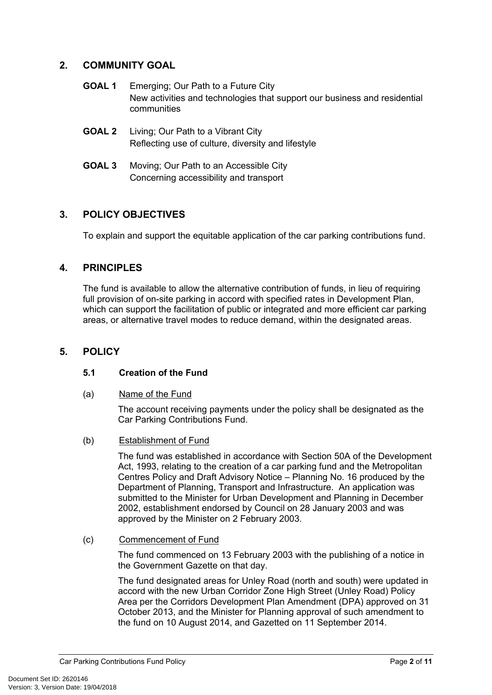# **2. COMMUNITY GOAL**

- **GOAL 1** Emerging; Our Path to a Future City New activities and technologies that support our business and residential communities
- **GOAL 2** Living; Our Path to a Vibrant City Reflecting use of culture, diversity and lifestyle
- **GOAL 3** Moving; Our Path to an Accessible City Concerning accessibility and transport

# **3. POLICY OBJECTIVES**

To explain and support the equitable application of the car parking contributions fund.

# **4. PRINCIPLES**

The fund is available to allow the alternative contribution of funds, in lieu of requiring full provision of on-site parking in accord with specified rates in Development Plan, which can support the facilitation of public or integrated and more efficient car parking areas, or alternative travel modes to reduce demand, within the designated areas.

# **5. POLICY**

# **5.1 Creation of the Fund**

(a) Name of the Fund

The account receiving payments under the policy shall be designated as the Car Parking Contributions Fund.

(b) Establishment of Fund

The fund was established in accordance with Section 50A of the Development Act, 1993, relating to the creation of a car parking fund and the Metropolitan Centres Policy and Draft Advisory Notice – Planning No. 16 produced by the Department of Planning, Transport and Infrastructure. An application was submitted to the Minister for Urban Development and Planning in December 2002, establishment endorsed by Council on 28 January 2003 and was approved by the Minister on 2 February 2003.

(c) Commencement of Fund

The fund commenced on 13 February 2003 with the publishing of a notice in the Government Gazette on that day.

The fund designated areas for Unley Road (north and south) were updated in accord with the new Urban Corridor Zone High Street (Unley Road) Policy Area per the Corridors Development Plan Amendment (DPA) approved on 31 October 2013, and the Minister for Planning approval of such amendment to the fund on 10 August 2014, and Gazetted on 11 September 2014.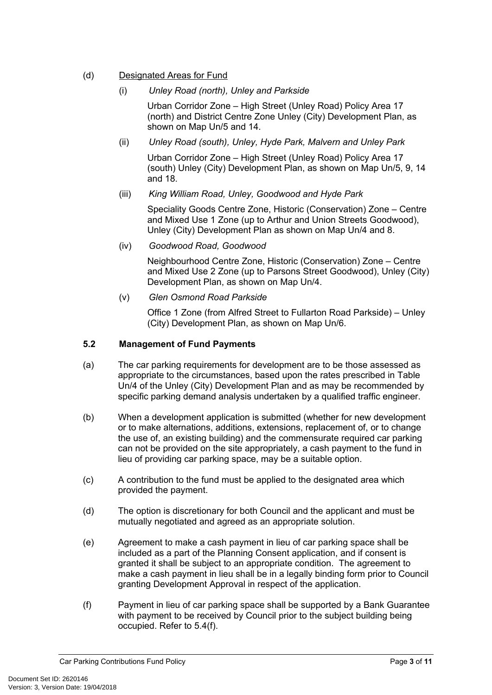# (d) Designated Areas for Fund

#### (i) *Unley Road (north), Unley and Parkside*

Urban Corridor Zone – High Street (Unley Road) Policy Area 17 (north) and District Centre Zone Unley (City) Development Plan, as shown on Map Un/5 and 14.

#### (ii) *Unley Road (south), Unley, Hyde Park, Malvern and Unley Park*

Urban Corridor Zone – High Street (Unley Road) Policy Area 17 (south) Unley (City) Development Plan, as shown on Map Un/5, 9, 14 and 18.

#### (iii) *King William Road, Unley, Goodwood and Hyde Park*

Speciality Goods Centre Zone, Historic (Conservation) Zone – Centre and Mixed Use 1 Zone (up to Arthur and Union Streets Goodwood), Unley (City) Development Plan as shown on Map Un/4 and 8.

(iv) *Goodwood Road, Goodwood*

Neighbourhood Centre Zone, Historic (Conservation) Zone – Centre and Mixed Use 2 Zone (up to Parsons Street Goodwood), Unley (City) Development Plan, as shown on Map Un/4.

(v) *Glen Osmond Road Parkside*

Office 1 Zone (from Alfred Street to Fullarton Road Parkside) – Unley (City) Development Plan, as shown on Map Un/6.

#### **5.2 Management of Fund Payments**

- (a) The car parking requirements for development are to be those assessed as appropriate to the circumstances, based upon the rates prescribed in Table Un/4 of the Unley (City) Development Plan and as may be recommended by specific parking demand analysis undertaken by a qualified traffic engineer.
- (b) When a development application is submitted (whether for new development or to make alternations, additions, extensions, replacement of, or to change the use of, an existing building) and the commensurate required car parking can not be provided on the site appropriately, a cash payment to the fund in lieu of providing car parking space, may be a suitable option.
- (c) A contribution to the fund must be applied to the designated area which provided the payment.
- (d) The option is discretionary for both Council and the applicant and must be mutually negotiated and agreed as an appropriate solution.
- (e) Agreement to make a cash payment in lieu of car parking space shall be included as a part of the Planning Consent application, and if consent is granted it shall be subject to an appropriate condition. The agreement to make a cash payment in lieu shall be in a legally binding form prior to Council granting Development Approval in respect of the application.
- (f) Payment in lieu of car parking space shall be supported by a Bank Guarantee with payment to be received by Council prior to the subject building being occupied. Refer to 5.4(f).

Car Parking Contributions Fund Policy **Page 10** of **11** and **Page 10** of **11**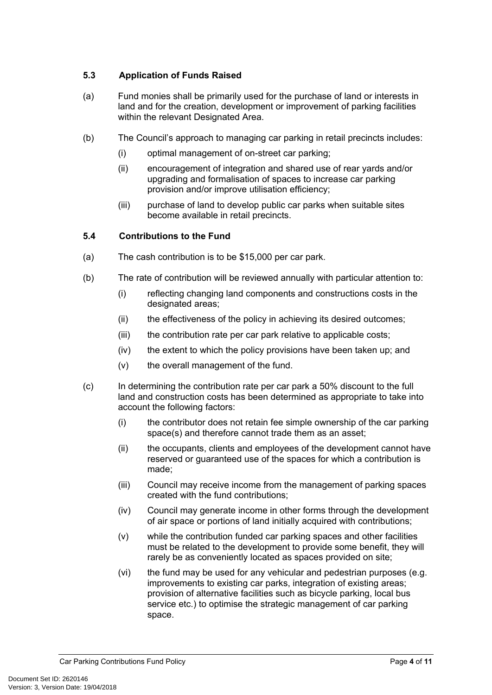# **5.3 Application of Funds Raised**

- (a) Fund monies shall be primarily used for the purchase of land or interests in land and for the creation, development or improvement of parking facilities within the relevant Designated Area.
- (b) The Council's approach to managing car parking in retail precincts includes:
	- (i) optimal management of on-street car parking;
	- (ii) encouragement of integration and shared use of rear yards and/or upgrading and formalisation of spaces to increase car parking provision and/or improve utilisation efficiency;
	- (iii) purchase of land to develop public car parks when suitable sites become available in retail precincts.

#### **5.4 Contributions to the Fund**

- (a) The cash contribution is to be \$15,000 per car park.
- (b) The rate of contribution will be reviewed annually with particular attention to:
	- (i) reflecting changing land components and constructions costs in the designated areas:
	- (ii) the effectiveness of the policy in achieving its desired outcomes;
	- (iii) the contribution rate per car park relative to applicable costs;
	- (iv) the extent to which the policy provisions have been taken up; and
	- (v) the overall management of the fund.
- (c) In determining the contribution rate per car park a 50% discount to the full land and construction costs has been determined as appropriate to take into account the following factors:
	- (i) the contributor does not retain fee simple ownership of the car parking space(s) and therefore cannot trade them as an asset;
	- (ii) the occupants, clients and employees of the development cannot have reserved or guaranteed use of the spaces for which a contribution is made;
	- (iii) Council may receive income from the management of parking spaces created with the fund contributions;
	- (iv) Council may generate income in other forms through the development of air space or portions of land initially acquired with contributions;
	- (v) while the contribution funded car parking spaces and other facilities must be related to the development to provide some benefit, they will rarely be as conveniently located as spaces provided on site;
	- (vi) the fund may be used for any vehicular and pedestrian purposes (e.g. improvements to existing car parks, integration of existing areas; provision of alternative facilities such as bicycle parking, local bus service etc.) to optimise the strategic management of car parking space.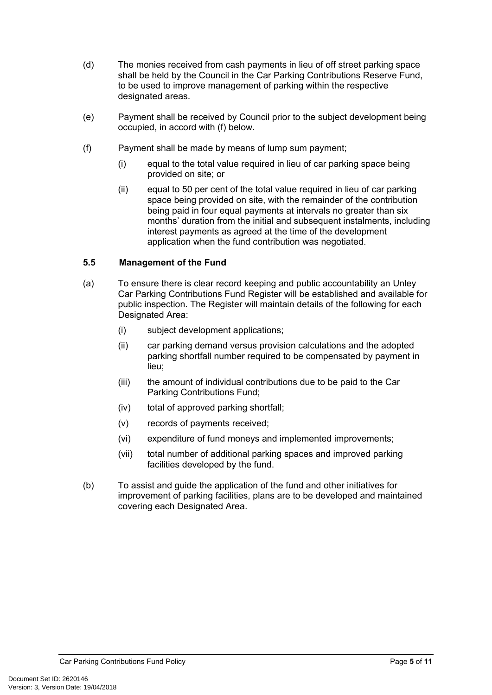- (d) The monies received from cash payments in lieu of off street parking space shall be held by the Council in the Car Parking Contributions Reserve Fund, to be used to improve management of parking within the respective designated areas.
- (e) Payment shall be received by Council prior to the subject development being occupied, in accord with (f) below.
- (f) Payment shall be made by means of lump sum payment;
	- (i) equal to the total value required in lieu of car parking space being provided on site; or
	- (ii) equal to 50 per cent of the total value required in lieu of car parking space being provided on site, with the remainder of the contribution being paid in four equal payments at intervals no greater than six months' duration from the initial and subsequent instalments, including interest payments as agreed at the time of the development application when the fund contribution was negotiated.

#### **5.5 Management of the Fund**

- (a) To ensure there is clear record keeping and public accountability an Unley Car Parking Contributions Fund Register will be established and available for public inspection. The Register will maintain details of the following for each Designated Area:
	- (i) subject development applications;
	- (ii) car parking demand versus provision calculations and the adopted parking shortfall number required to be compensated by payment in lieu;
	- (iii) the amount of individual contributions due to be paid to the Car Parking Contributions Fund;
	- (iv) total of approved parking shortfall;
	- (v) records of payments received;
	- (vi) expenditure of fund moneys and implemented improvements;
	- (vii) total number of additional parking spaces and improved parking facilities developed by the fund.
- (b) To assist and guide the application of the fund and other initiatives for improvement of parking facilities, plans are to be developed and maintained covering each Designated Area.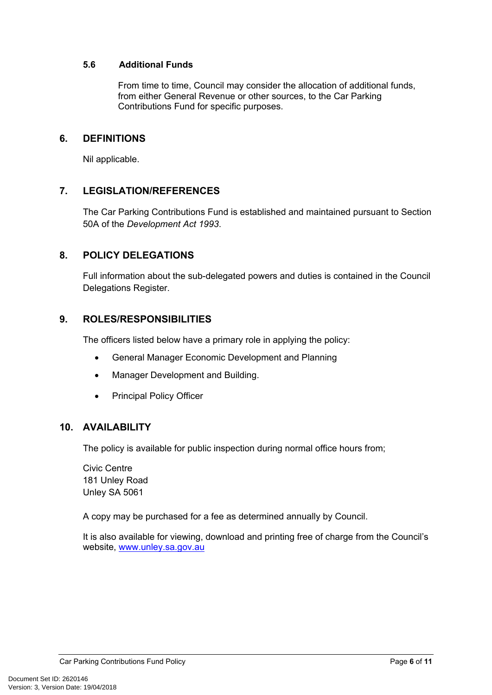#### **5.6 Additional Funds**

From time to time, Council may consider the allocation of additional funds, from either General Revenue or other sources, to the Car Parking Contributions Fund for specific purposes.

# **6. DEFINITIONS**

Nil applicable.

# **7. LEGISLATION/REFERENCES**

The Car Parking Contributions Fund is established and maintained pursuant to Section 50A of the *Development Act 1993*.

# **8. POLICY DELEGATIONS**

Full information about the sub-delegated powers and duties is contained in the Council Delegations Register.

# **9. ROLES/RESPONSIBILITIES**

The officers listed below have a primary role in applying the policy:

- General Manager Economic Development and Planning
- Manager Development and Building.
- Principal Policy Officer

# **10. AVAILABILITY**

The policy is available for public inspection during normal office hours from;

Civic Centre 181 Unley Road Unley SA 5061

A copy may be purchased for a fee as determined annually by Council.

It is also available for viewing, download and printing free of charge from the Council's website, [www.unley.sa.gov.au](http://www.unley.sa.gov.au/)

Car Parking Contributions Fund Policy **Page 6** of 11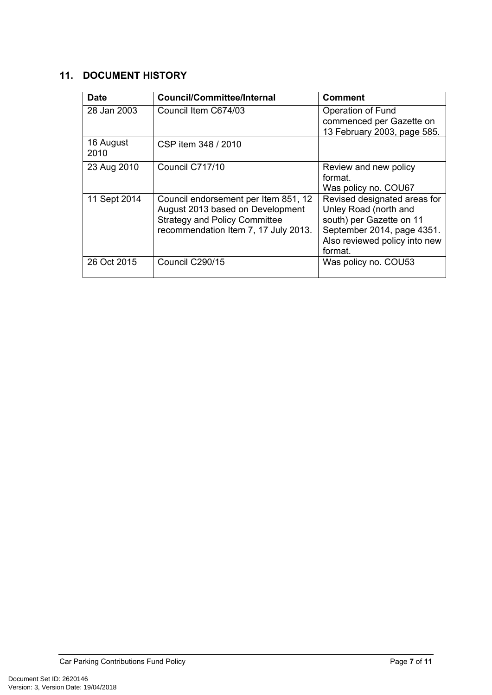# **11. DOCUMENT HISTORY**

| <b>Date</b>       | <b>Council/Committee/Internal</b>                                                                                                                        | <b>Comment</b>                                                                                                                                              |
|-------------------|----------------------------------------------------------------------------------------------------------------------------------------------------------|-------------------------------------------------------------------------------------------------------------------------------------------------------------|
| 28 Jan 2003       | Council Item C674/03                                                                                                                                     | Operation of Fund<br>commenced per Gazette on<br>13 February 2003, page 585.                                                                                |
| 16 August<br>2010 | CSP item 348 / 2010                                                                                                                                      |                                                                                                                                                             |
| 23 Aug 2010       | Council C717/10                                                                                                                                          | Review and new policy<br>format.<br>Was policy no. COU67                                                                                                    |
| 11 Sept 2014      | Council endorsement per Item 851, 12<br>August 2013 based on Development<br><b>Strategy and Policy Committee</b><br>recommendation Item 7, 17 July 2013. | Revised designated areas for<br>Unley Road (north and<br>south) per Gazette on 11<br>September 2014, page 4351.<br>Also reviewed policy into new<br>format. |
| 26 Oct 2015       | Council C290/15                                                                                                                                          | Was policy no. COU53                                                                                                                                        |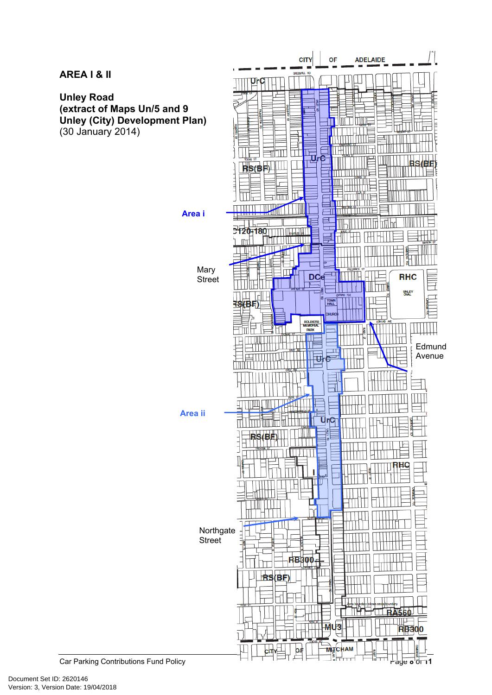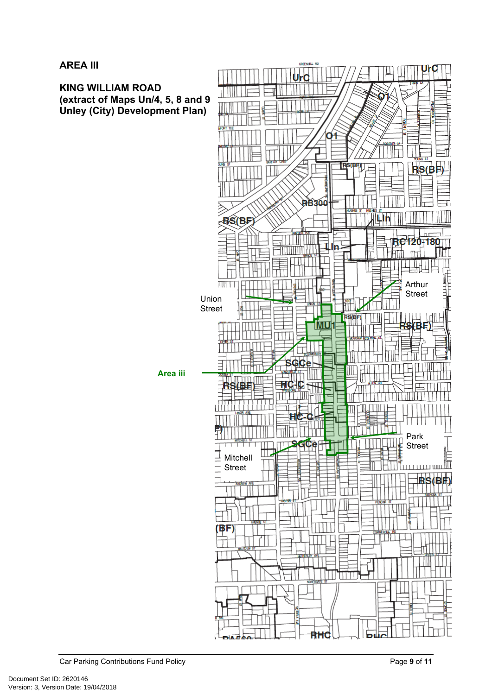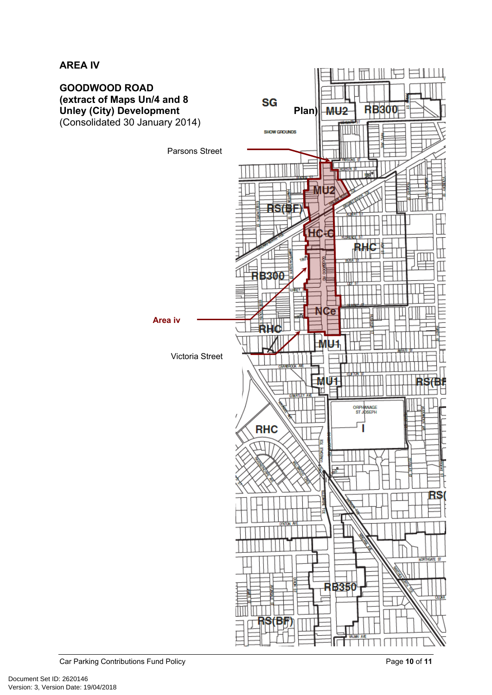# **AREA IV**